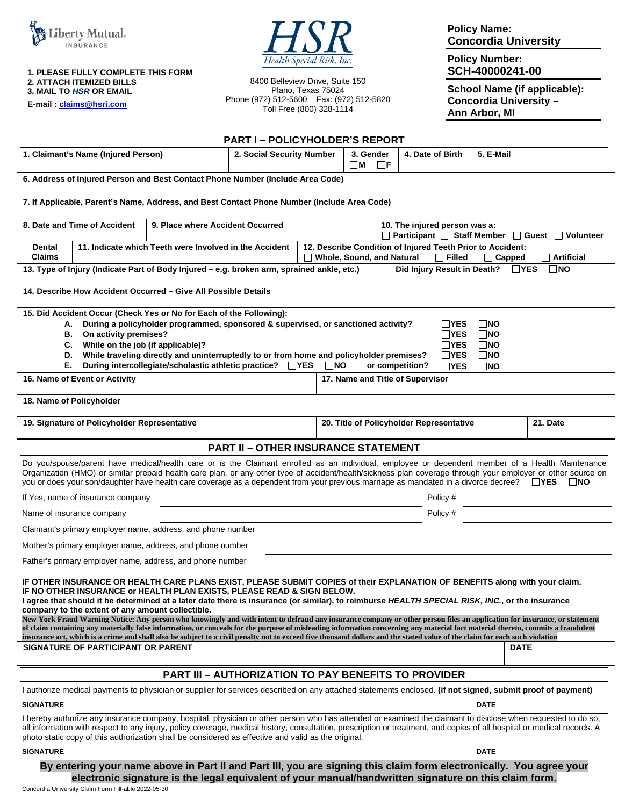



**1. PLEASE FULLY COMPLETE THIS FORM 2. ATTACH ITEMIZED BILLS 3. MAIL TO** *HSR* **OR EMAIL** 

**E-mail : [claims@hsri.com](mailto:claims@hsri.com)**

8400 Belleview Drive, Suite 150 Plano, Texas 75024 Phone (972) 512-5600 Fax: (972) 512-5820 Toll Free (800) 328-1114

**Policy Name: Concordia University** 

**Policy Number: SCH-40000241-00** 

**School Name (if applicable): Concordia University – Ann Arbor, MI** 

|                                                                                                                                                                                                                                                                                                                                                                                                                                                                                                                                                                                                                                                                                                                                                                                                                                                                                                                                                           | <b>PART I-POLICYHOLDER'S REPORT</b> |  |                                      |                                          |             |                     |  |
|-----------------------------------------------------------------------------------------------------------------------------------------------------------------------------------------------------------------------------------------------------------------------------------------------------------------------------------------------------------------------------------------------------------------------------------------------------------------------------------------------------------------------------------------------------------------------------------------------------------------------------------------------------------------------------------------------------------------------------------------------------------------------------------------------------------------------------------------------------------------------------------------------------------------------------------------------------------|-------------------------------------|--|--------------------------------------|------------------------------------------|-------------|---------------------|--|
| 1. Claimant's Name (Injured Person)<br>2. Social Security Number                                                                                                                                                                                                                                                                                                                                                                                                                                                                                                                                                                                                                                                                                                                                                                                                                                                                                          |                                     |  | 3. Gender<br>$\Box$ F<br>$\square$ M | 4. Date of Birth                         | 5. E-Mail   |                     |  |
| 6. Address of Injured Person and Best Contact Phone Number (Include Area Code)                                                                                                                                                                                                                                                                                                                                                                                                                                                                                                                                                                                                                                                                                                                                                                                                                                                                            |                                     |  |                                      |                                          |             |                     |  |
| 7. If Applicable, Parent's Name, Address, and Best Contact Phone Number (Include Area Code)                                                                                                                                                                                                                                                                                                                                                                                                                                                                                                                                                                                                                                                                                                                                                                                                                                                               |                                     |  |                                      |                                          |             |                     |  |
| 8. Date and Time of Accident<br>9. Place where Accident Occurred<br>10. The injured person was a:<br>Participant □ Staff Member<br>□ Guest □ Volunteer                                                                                                                                                                                                                                                                                                                                                                                                                                                                                                                                                                                                                                                                                                                                                                                                    |                                     |  |                                      |                                          |             |                     |  |
| 12. Describe Condition of Injured Teeth Prior to Accident:<br><b>Dental</b><br>11. Indicate which Teeth were Involved in the Accident<br><b>Claims</b><br><b>Whole, Sound, and Natural</b><br>$\Box$ Filled<br>$\Box$ Capped                                                                                                                                                                                                                                                                                                                                                                                                                                                                                                                                                                                                                                                                                                                              |                                     |  |                                      |                                          |             | $\sqcap$ Artificial |  |
| 13. Type of Injury (Indicate Part of Body Injured – e.g. broken arm, sprained ankle, etc.)<br>Did Injury Result in Death?<br>$\Box$ YES<br>$\Box$ NO                                                                                                                                                                                                                                                                                                                                                                                                                                                                                                                                                                                                                                                                                                                                                                                                      |                                     |  |                                      |                                          |             |                     |  |
| 14. Describe How Accident Occurred – Give All Possible Details                                                                                                                                                                                                                                                                                                                                                                                                                                                                                                                                                                                                                                                                                                                                                                                                                                                                                            |                                     |  |                                      |                                          |             |                     |  |
| 15. Did Accident Occur (Check Yes or No for Each of the Following):<br>During a policyholder programmed, sponsored & supervised, or sanctioned activity?<br>$\square$ NO<br>∐YES<br>А.<br>On activity premises?<br>$\Box$ YES<br>$\Box$ NO<br>В.<br>While on the job (if applicable)?<br>$\Box$ YES<br>$\square$ NO<br>C.<br>While traveling directly and uninterruptedly to or from home and policyholder premises?<br>$\Box$ YES<br>$\square$ NO<br>D.<br>During intercollegiate/scholastic athletic practice? □ YES<br>Е.<br>$\square$ NO<br>or competition?<br>$\Box$ YES<br>$\square$ NO<br>16. Name of Event or Activity<br>17. Name and Title of Supervisor                                                                                                                                                                                                                                                                                        |                                     |  |                                      |                                          |             |                     |  |
| 18. Name of Policyholder                                                                                                                                                                                                                                                                                                                                                                                                                                                                                                                                                                                                                                                                                                                                                                                                                                                                                                                                  |                                     |  |                                      |                                          |             |                     |  |
|                                                                                                                                                                                                                                                                                                                                                                                                                                                                                                                                                                                                                                                                                                                                                                                                                                                                                                                                                           |                                     |  |                                      |                                          |             |                     |  |
| 19. Signature of Policyholder Representative                                                                                                                                                                                                                                                                                                                                                                                                                                                                                                                                                                                                                                                                                                                                                                                                                                                                                                              |                                     |  |                                      | 20. Title of Policyholder Representative |             | 21. Date            |  |
| <b>PART II - OTHER INSURANCE STATEMENT</b>                                                                                                                                                                                                                                                                                                                                                                                                                                                                                                                                                                                                                                                                                                                                                                                                                                                                                                                |                                     |  |                                      |                                          |             |                     |  |
| Do you/spouse/parent have medical/health care or is the Claimant enrolled as an individual, employee or dependent member of a Health Maintenance<br>Organization (HMO) or similar prepaid health care plan, or any other type of accident/health/sickness plan coverage through your employer or other source on<br>you or does your son/daughter have health care coverage as a dependent from your previous marriage as mandated in a divorce decree? □ YES □ NO                                                                                                                                                                                                                                                                                                                                                                                                                                                                                        |                                     |  |                                      |                                          |             |                     |  |
| If Yes, name of insurance company                                                                                                                                                                                                                                                                                                                                                                                                                                                                                                                                                                                                                                                                                                                                                                                                                                                                                                                         |                                     |  | Policy #                             |                                          |             |                     |  |
| Name of insurance company                                                                                                                                                                                                                                                                                                                                                                                                                                                                                                                                                                                                                                                                                                                                                                                                                                                                                                                                 |                                     |  | Policy #                             |                                          |             |                     |  |
| Claimant's primary employer name, address, and phone number                                                                                                                                                                                                                                                                                                                                                                                                                                                                                                                                                                                                                                                                                                                                                                                                                                                                                               |                                     |  |                                      |                                          |             |                     |  |
| Mother's primary employer name, address, and phone number                                                                                                                                                                                                                                                                                                                                                                                                                                                                                                                                                                                                                                                                                                                                                                                                                                                                                                 |                                     |  |                                      |                                          |             |                     |  |
| Father's primary employer name, address, and phone number                                                                                                                                                                                                                                                                                                                                                                                                                                                                                                                                                                                                                                                                                                                                                                                                                                                                                                 |                                     |  |                                      |                                          |             |                     |  |
| IF OTHER INSURANCE OR HEALTH CARE PLANS EXIST, PLEASE SUBMIT COPIES of their EXPLANATION OF BENEFITS along with your claim.<br>IF NO OTHER INSURANCE or HEALTH PLAN EXISTS, PLEASE READ & SIGN BELOW.<br>I agree that should it be determined at a later date there is insurance (or similar), to reimburse HEALTH SPECIAL RISK, INC., or the insurance<br>company to the extent of any amount collectible.<br>New York Fraud Warning Notice: Any person who knowingly and with intent to defraud any insurance company or other person files an application for insurance, or statement<br>of claim containing any materially false information, or conceals for the purpose of misleading information concerning any material fact material thereto, commits a fraudulent<br>insurance act, which is a crime and shall also be subject to a civil penalty not to exceed five thousand dollars and the stated value of the claim for each such violation |                                     |  |                                      |                                          |             |                     |  |
| SIGNATURE OF PARTICIPANT OR PARENT                                                                                                                                                                                                                                                                                                                                                                                                                                                                                                                                                                                                                                                                                                                                                                                                                                                                                                                        |                                     |  |                                      |                                          | <b>DATE</b> |                     |  |
| <b>PART III - AUTHORIZATION TO PAY BENEFITS TO PROVIDER</b>                                                                                                                                                                                                                                                                                                                                                                                                                                                                                                                                                                                                                                                                                                                                                                                                                                                                                               |                                     |  |                                      |                                          |             |                     |  |
| I authorize medical payments to physician or supplier for services described on any attached statements enclosed. (if not signed, submit proof of payment)                                                                                                                                                                                                                                                                                                                                                                                                                                                                                                                                                                                                                                                                                                                                                                                                |                                     |  |                                      |                                          |             |                     |  |
| <b>SIGNATURE</b><br><b>DATE</b>                                                                                                                                                                                                                                                                                                                                                                                                                                                                                                                                                                                                                                                                                                                                                                                                                                                                                                                           |                                     |  |                                      |                                          |             |                     |  |
| I hereby authorize any insurance company, hospital, physician or other person who has attended or examined the claimant to disclose when requested to do so,<br>all information with respect to any injury, policy coverage, medical history, consultation, prescription or treatment, and copies of all hospital or medical records. A<br>photo static copy of this authorization shall be considered as effective and valid as the original.                                                                                                                                                                                                                                                                                                                                                                                                                                                                                                            |                                     |  |                                      |                                          |             |                     |  |
| <b>SIGNATURE</b>                                                                                                                                                                                                                                                                                                                                                                                                                                                                                                                                                                                                                                                                                                                                                                                                                                                                                                                                          |                                     |  |                                      |                                          | <b>DATE</b> |                     |  |

## **By entering your name above in Part II and Part III, you are signing this claim form electronically. You agree your electronic signature is the legal equivalent of your manual/handwritten signature on this claim form.**